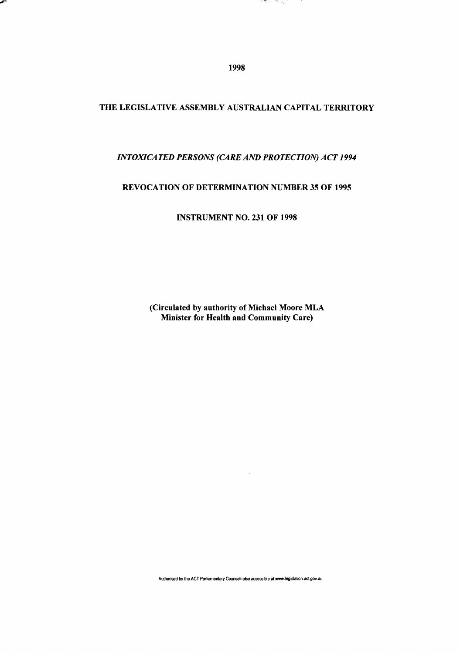1998

1. METU - 759 May

تجاوي

## THE LEGISLATIVE ASSEMBLY AUSTRALIAN CAPITAL TERRITORY

## *INTOXICATED PERSONS (CARE AND PROTECTION) ACT 1994*

## REVOCATION OF DETERMINATION NUMBER 35 OF 1995

INSTRUMENT NO. 231 OF 1998

(Circulated by authority of Michael Moore MLA Minister for Health and Community Care)

**Authorised by the ACT Parliamentary Counsel-also accessible at «ww.legislation.act.gov.au**